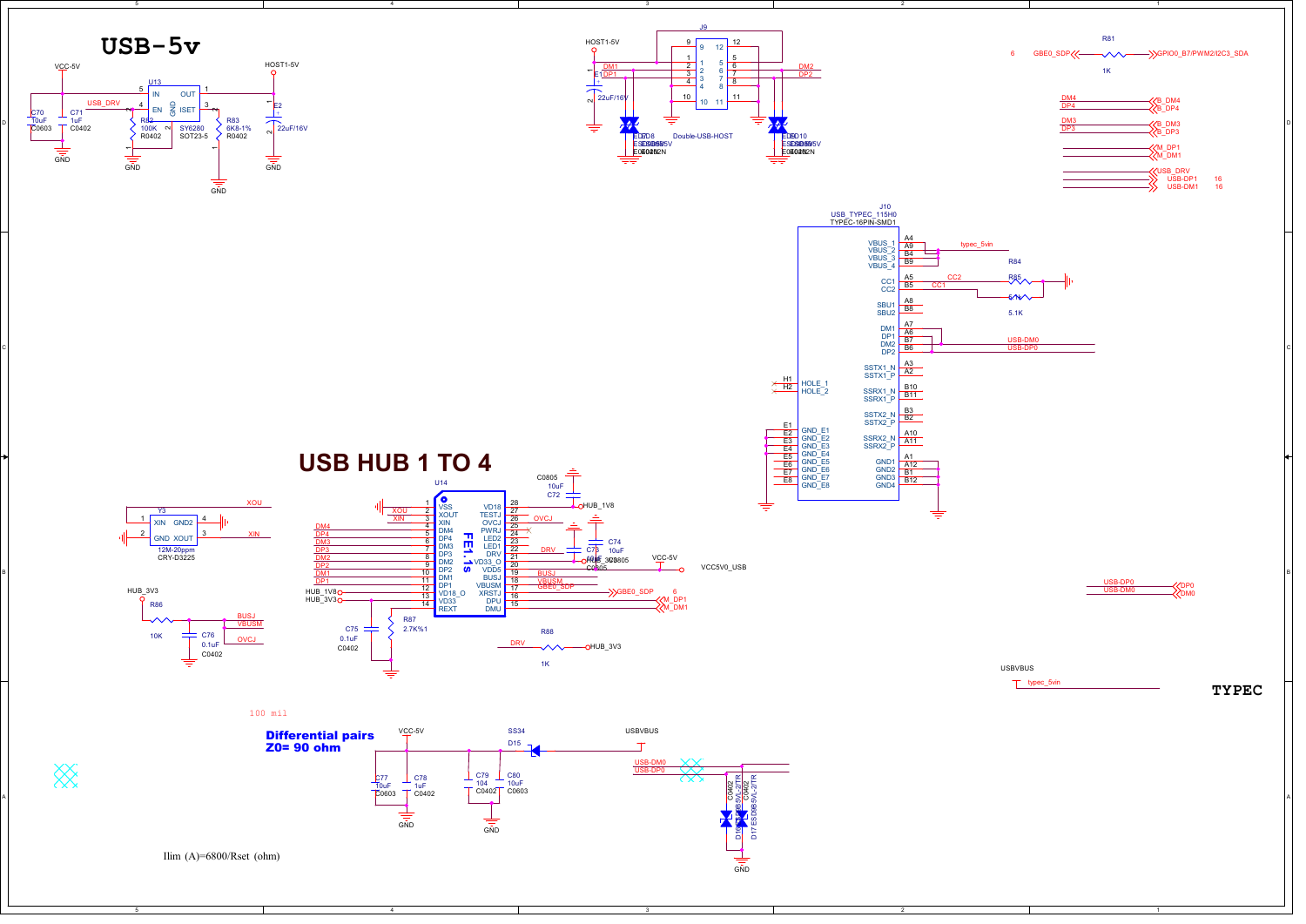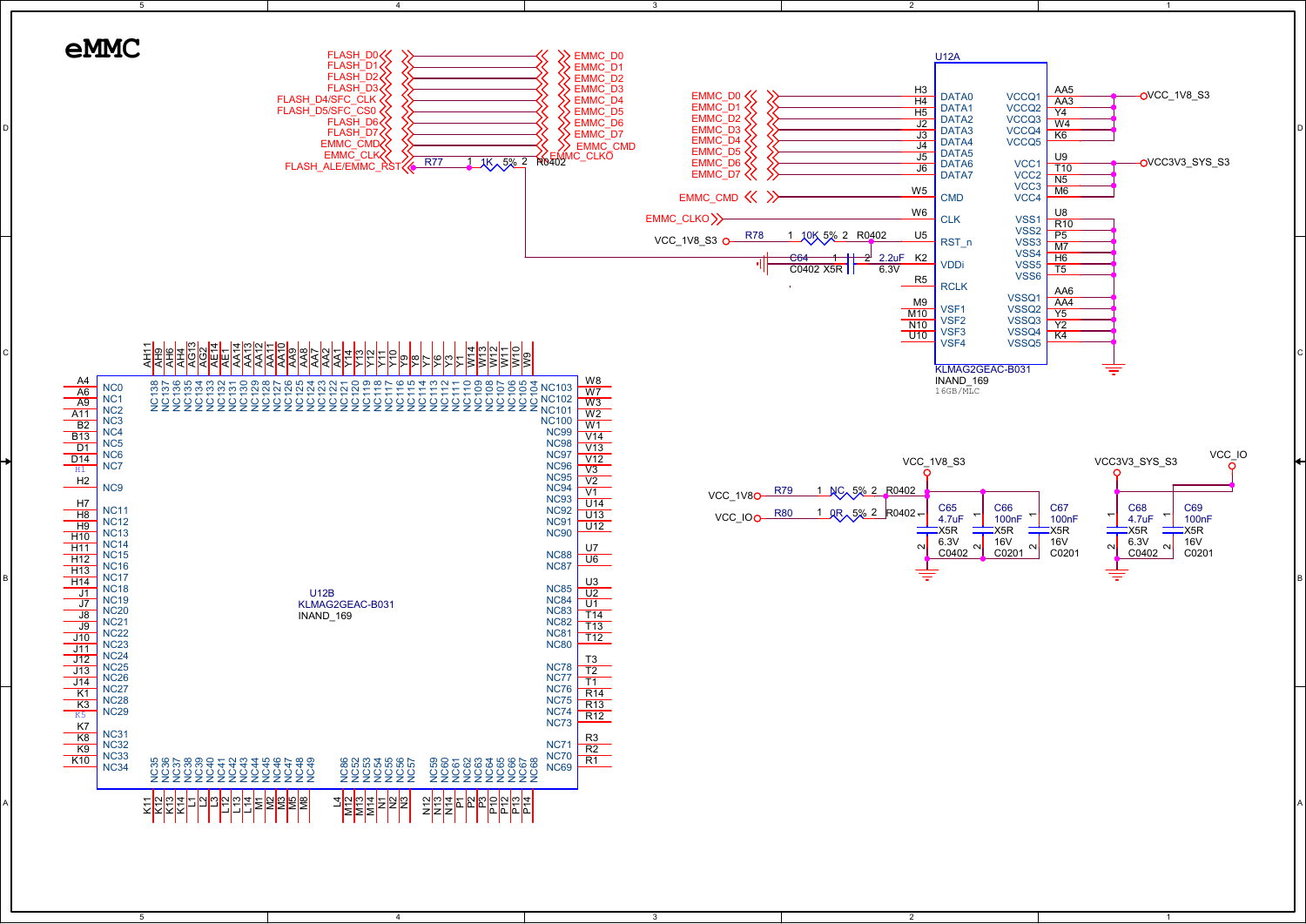

2

1

5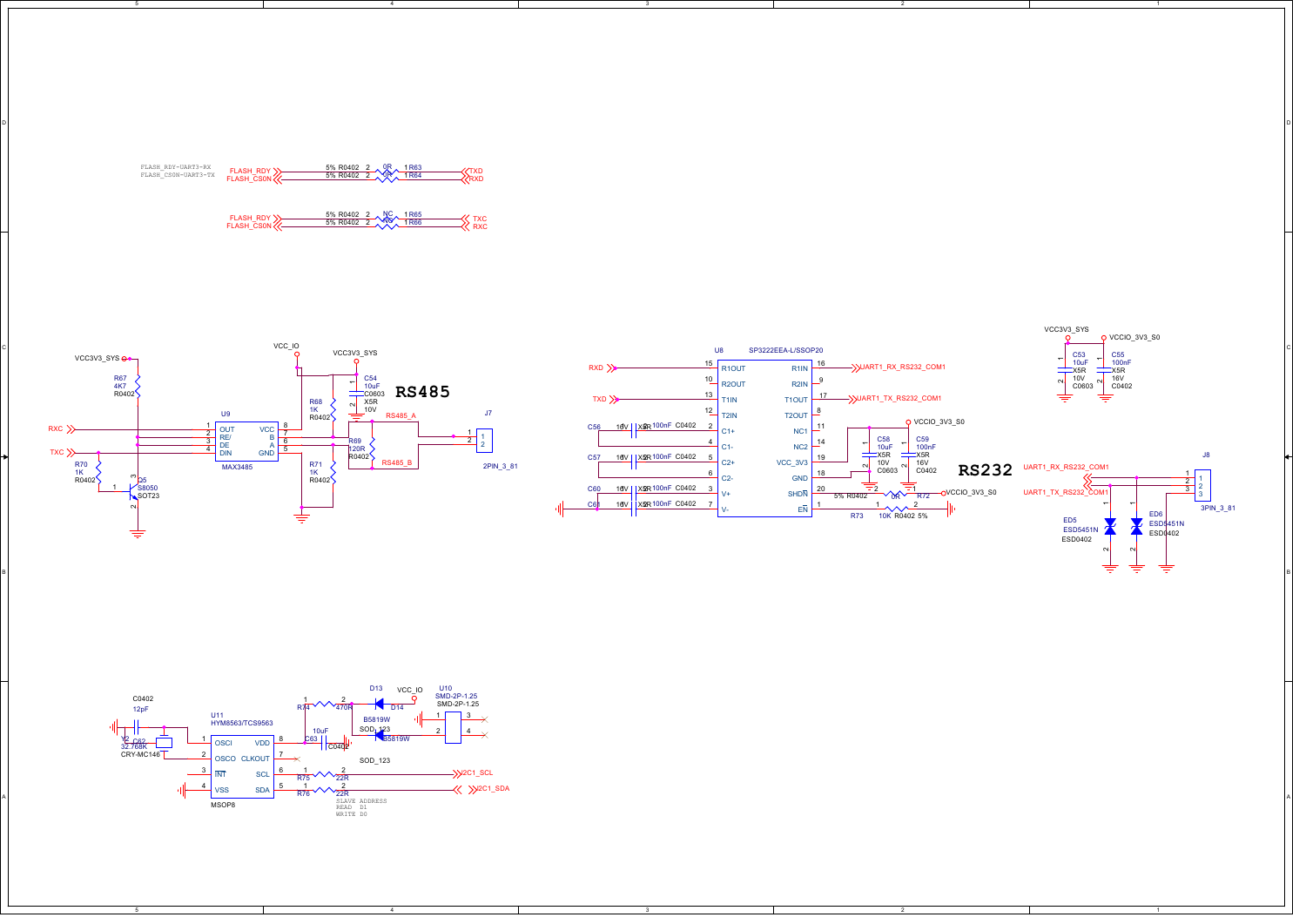

B I A STATE A CONTROL CONTROL AND THE CONTROL CONTROL CONTROL CONTROL CONTROL CONTROL CONTROL CONTROL CONTROL CONTROL CONTROL CONTROL CONTROL CONTROL CONTROL CONTROL CONTROL CONTROL CONTROL CONTROL CONTROL CONTROL CONTROL

2

1

J8

 $\frac{1}{2}$  1  $\frac{2}{3}$   $\frac{1}{3}$ 

ED6 ESD5451N<br>ESD0402

 $\scriptstyle\sim$ 

3PIN\_3\_81





4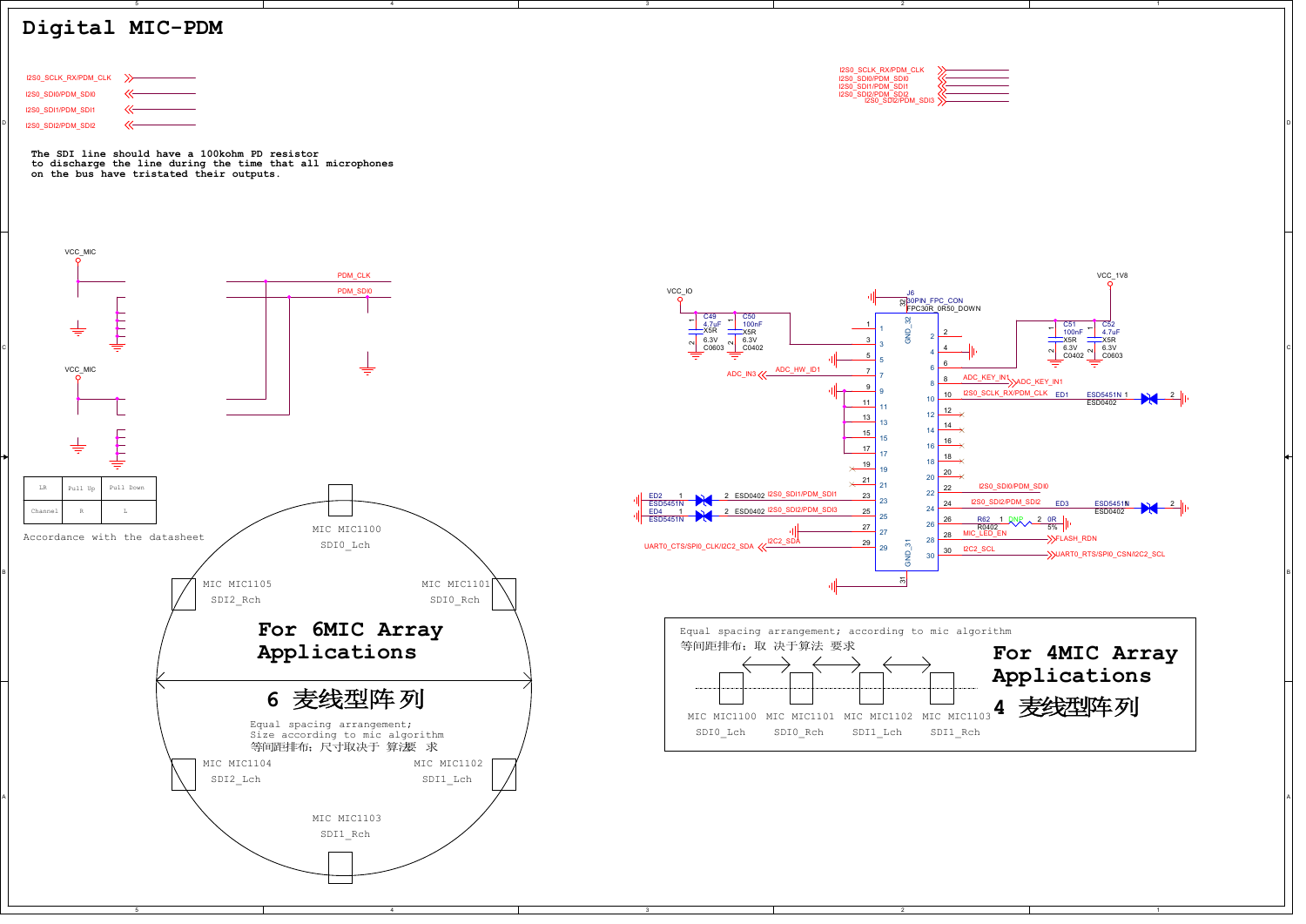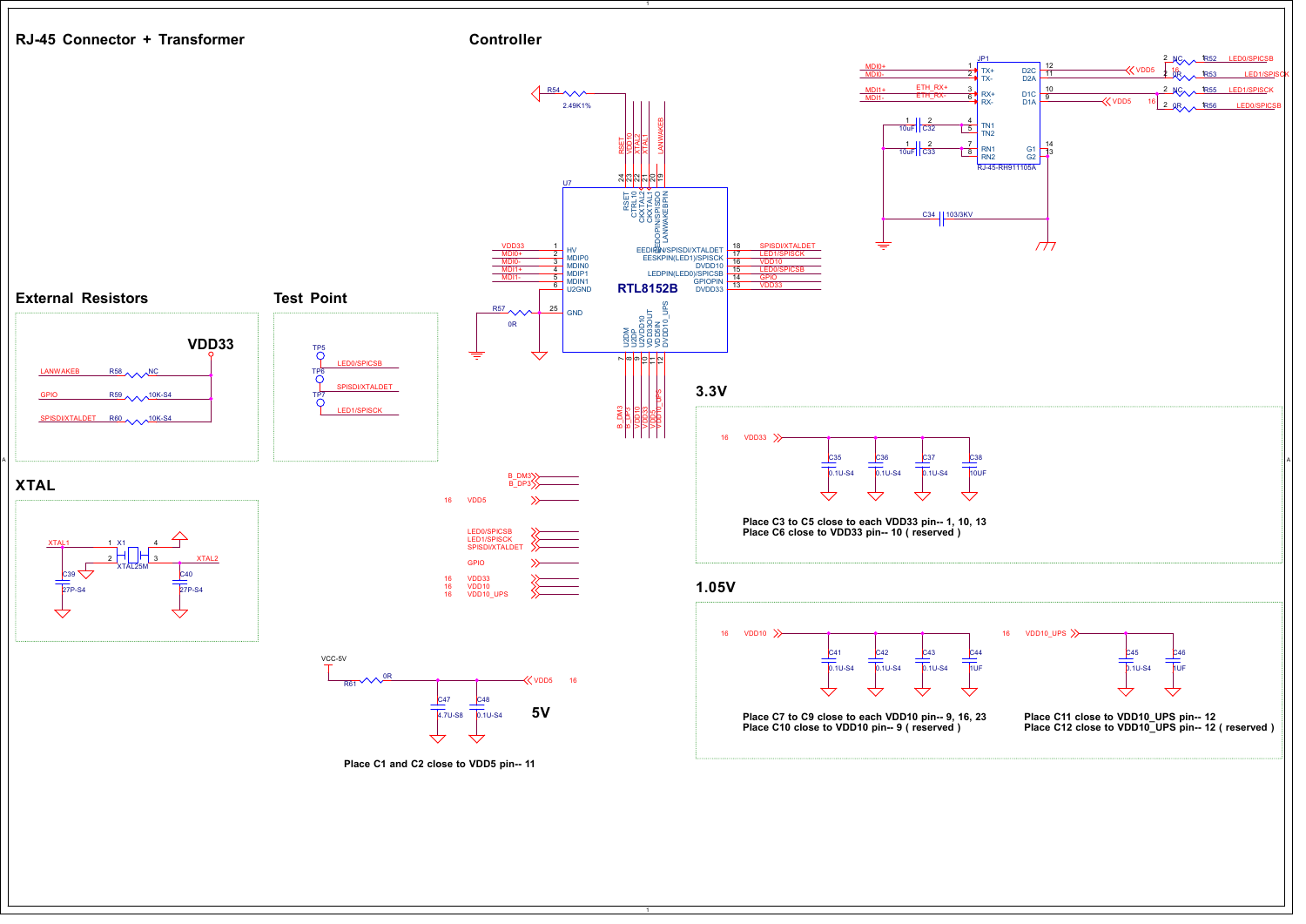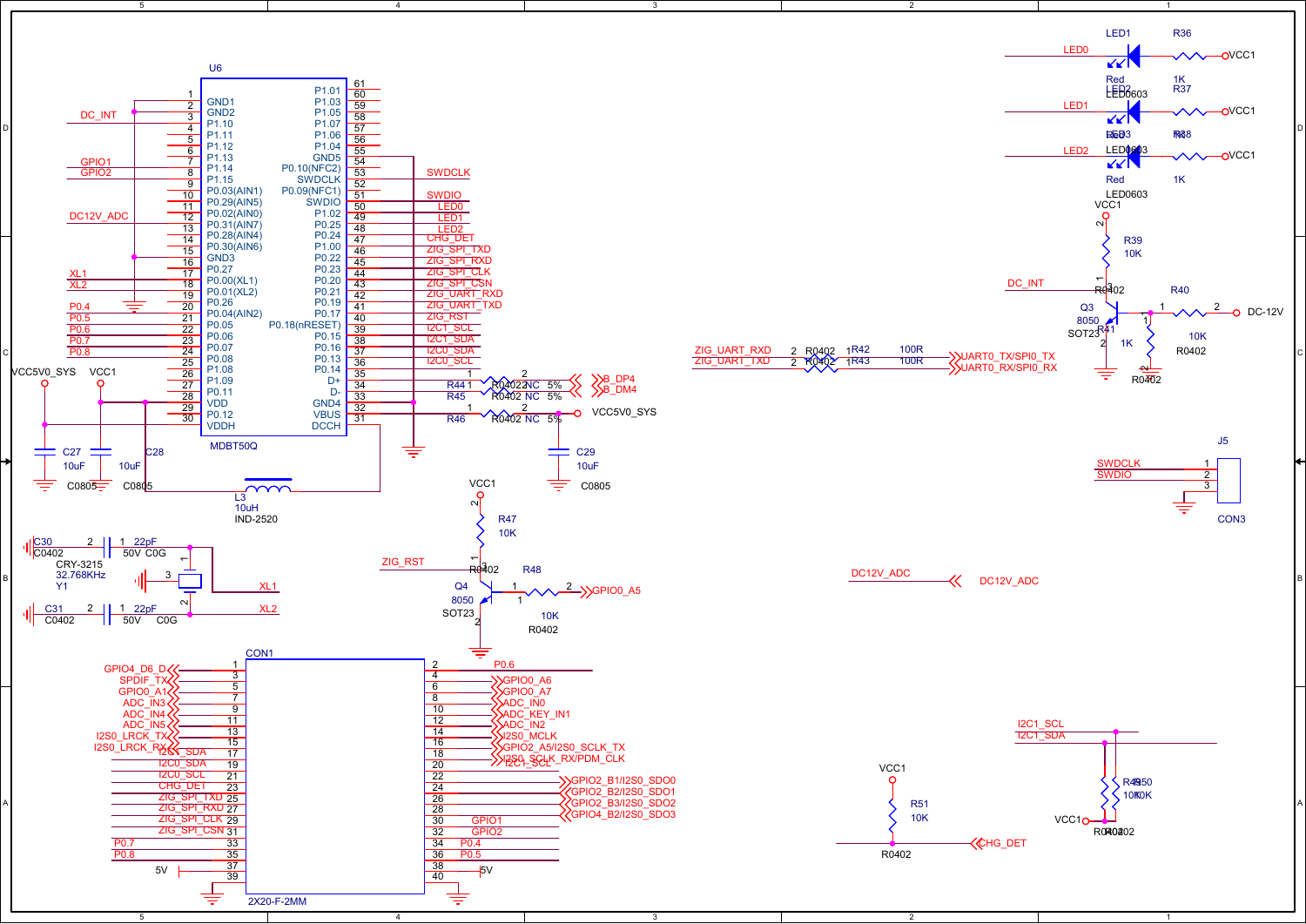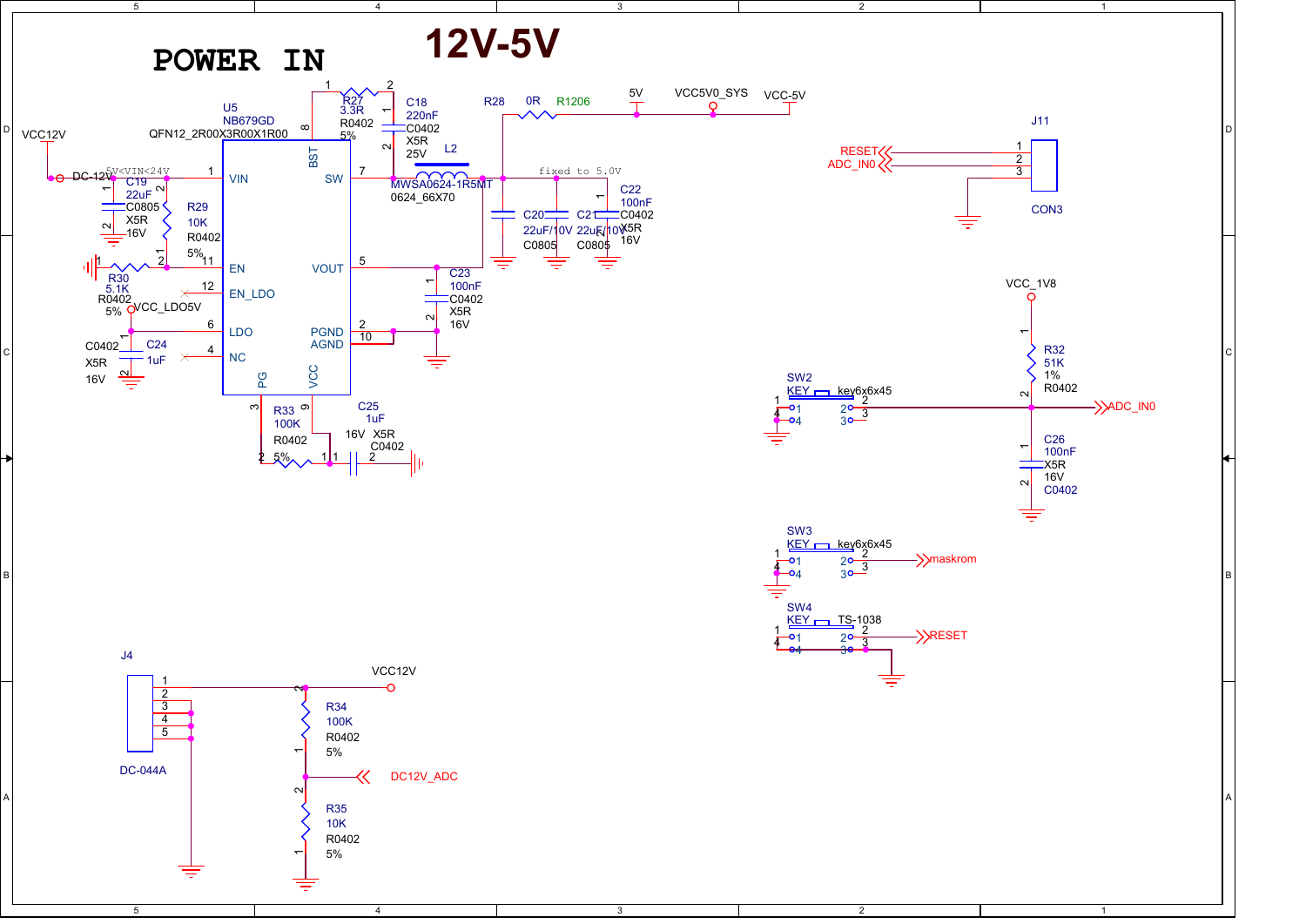![](_page_6_Figure_0.jpeg)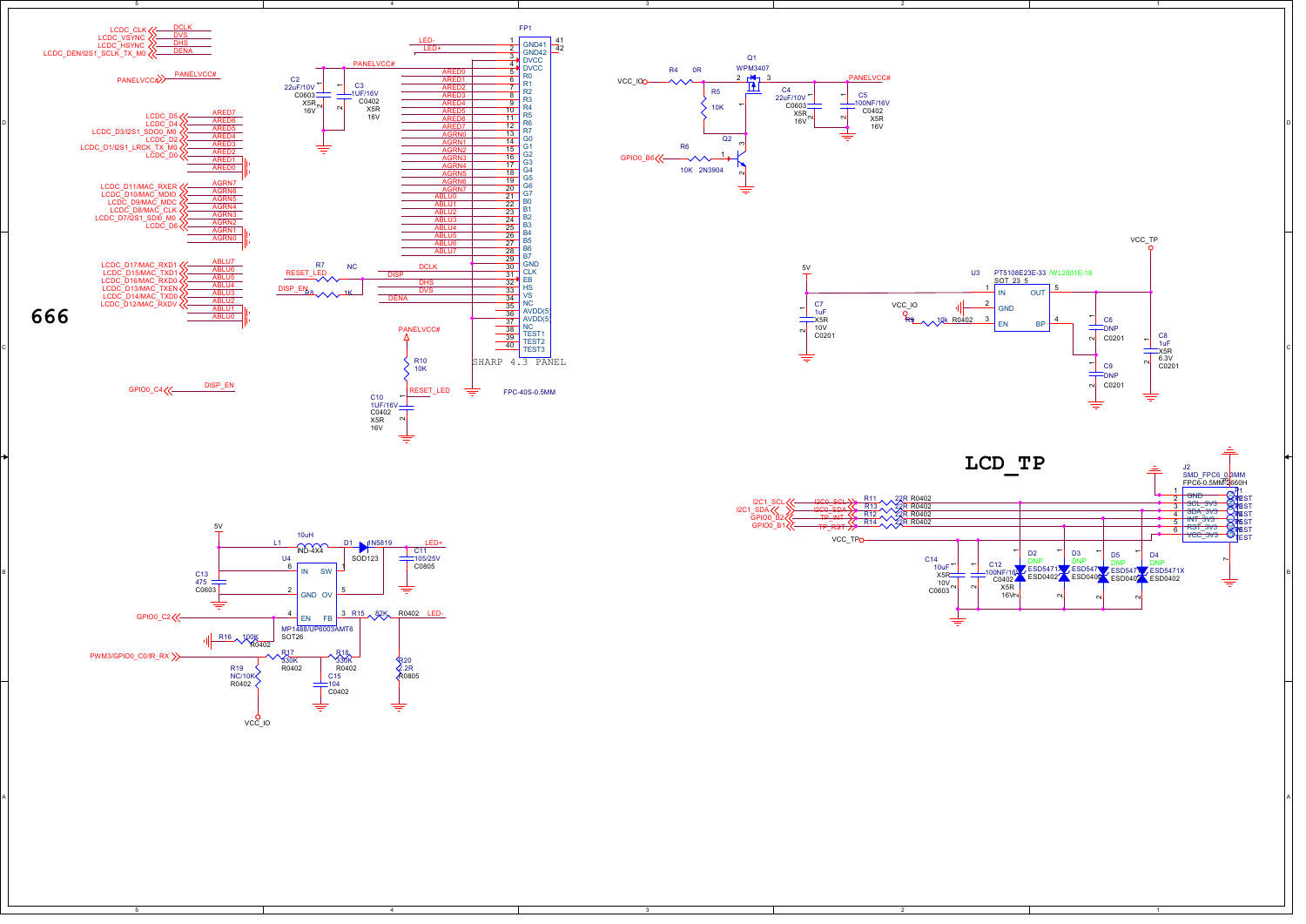![](_page_7_Figure_0.jpeg)

A POSTAGE A POSTAGE A POSTAGE A POSTAGE A POSTAGE A POSTAGE A POSTAGE A POSTAGE A POSTAGE A POSTAGE A POSTAGE A

![](_page_7_Figure_1.jpeg)

4

≑

5

![](_page_7_Figure_2.jpeg)

1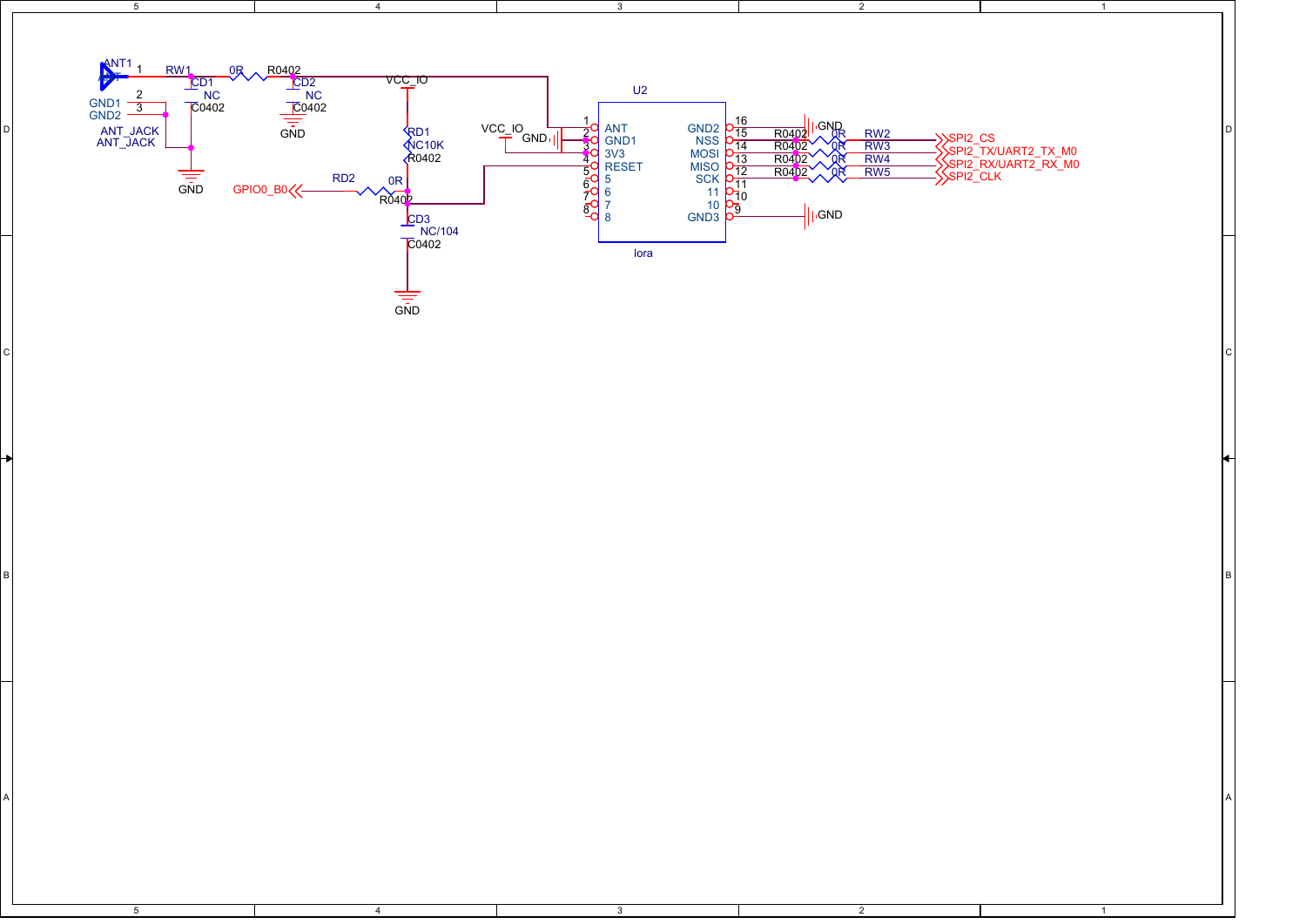![](_page_8_Figure_0.jpeg)

2

 $\overline{1}$ 

1

4

5

5

B B

4

A POSTAGE AND THE CONTRACTOR CONTRACTOR CONTRACTOR CONTRACTOR CONTRACTOR CONTRACTOR CONTRACTOR CONTRACTOR CONTRACTOR

3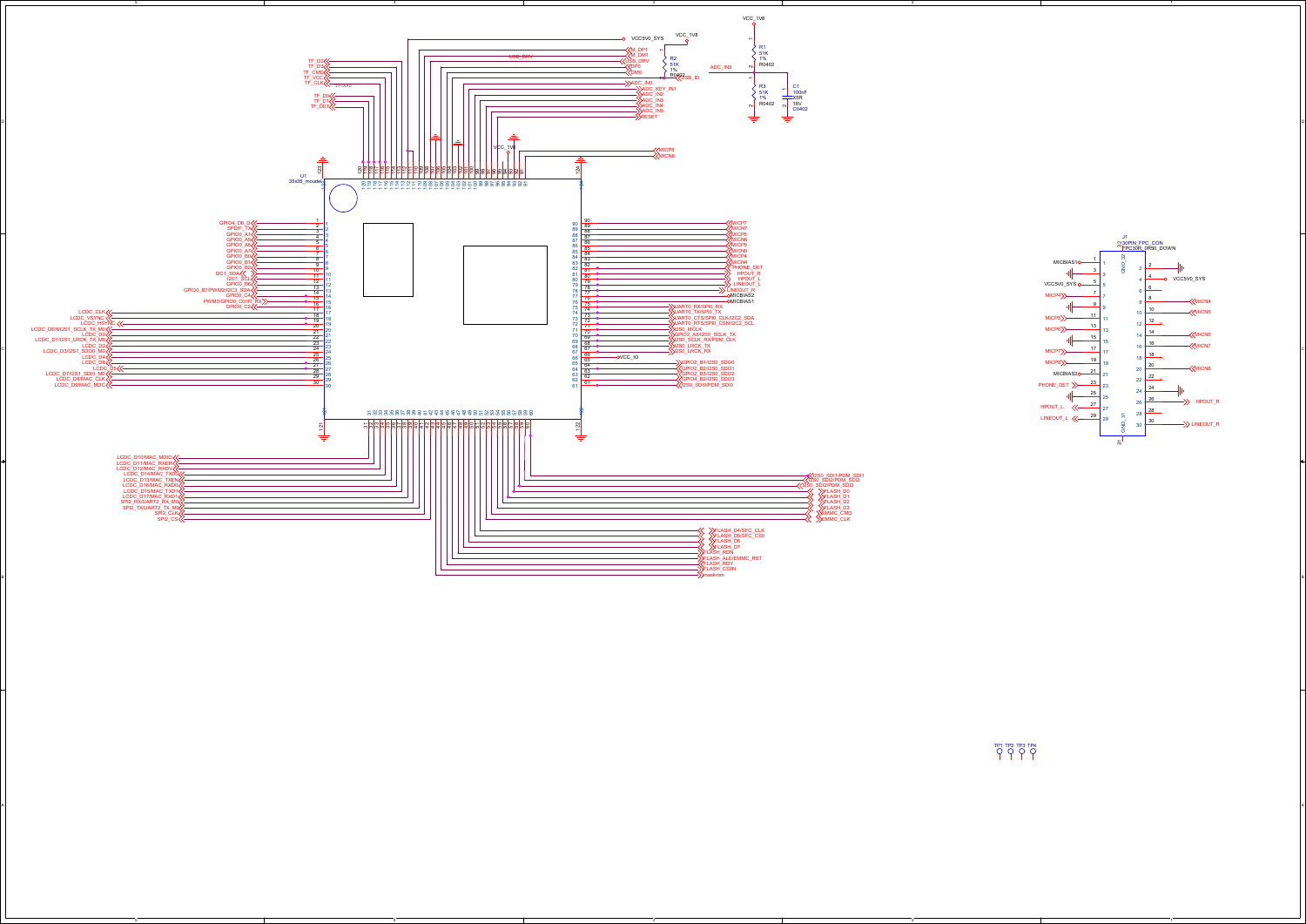![](_page_9_Figure_0.jpeg)

3

 $\lambda$ 

5

![](_page_9_Figure_1.jpeg)

1

TP1 TP2 TP3 TP4